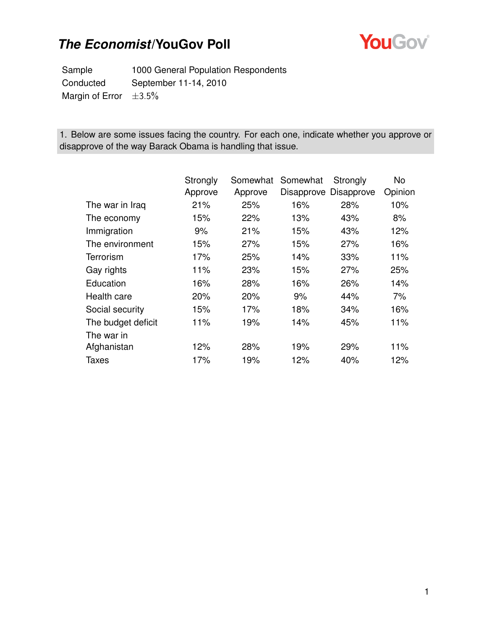

Sample 1000 General Population Respondents Conducted September 11-14, 2010 Margin of Error  $\pm 3.5\%$ 

1. Below are some issues facing the country. For each one, indicate whether you approve or disapprove of the way Barack Obama is handling that issue.

|                    | Strongly | Somewhat | Somewhat | Strongly              | No      |
|--------------------|----------|----------|----------|-----------------------|---------|
|                    | Approve  | Approve  |          | Disapprove Disapprove | Opinion |
| The war in Iraq    | 21%      | 25%      | 16%      | 28%                   | 10%     |
| The economy        | 15%      | 22%      | 13%      | 43%                   | 8%      |
| Immigration        | 9%       | 21%      | 15%      | 43%                   | 12%     |
| The environment    | 15%      | 27%      | 15%      | 27%                   | 16%     |
| Terrorism          | 17%      | 25%      | 14%      | 33%                   | 11%     |
| Gay rights         | 11%      | 23%      | 15%      | 27%                   | 25%     |
| Education          | 16%      | 28%      | 16%      | 26%                   | 14%     |
| Health care        | 20%      | 20%      | 9%       | 44%                   | 7%      |
| Social security    | 15%      | 17%      | 18%      | 34%                   | 16%     |
| The budget deficit | 11%      | 19%      | 14%      | 45%                   | 11%     |
| The war in         |          |          |          |                       |         |
| Afghanistan        | 12%      | 28%      | 19%      | 29%                   | 11%     |
| Taxes              | 17%      | 19%      | 12%      | 40%                   | 12%     |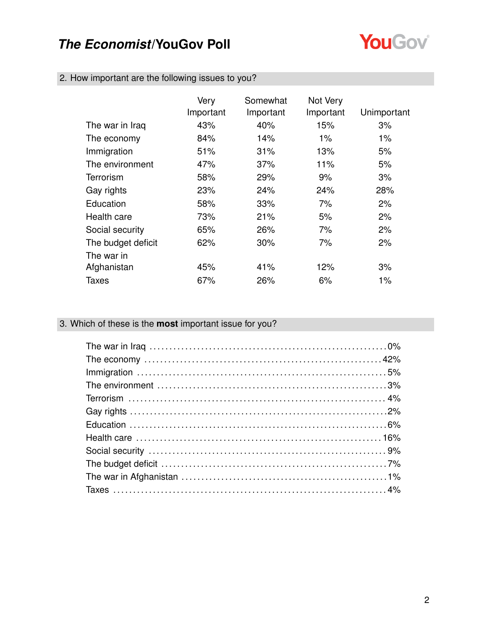

|  |  |  |  |  | 2. How important are the following issues to you? |  |
|--|--|--|--|--|---------------------------------------------------|--|
|--|--|--|--|--|---------------------------------------------------|--|

|                    | Very<br>Important | Somewhat<br>Important | Not Very<br>Important | Unimportant |
|--------------------|-------------------|-----------------------|-----------------------|-------------|
| The war in Iraq    | 43%               | 40%                   | 15%                   | 3%          |
| The economy        | 84%               | 14%                   | $1\%$                 | $1\%$       |
| Immigration        | 51%               | 31%                   | 13%                   | 5%          |
| The environment    | 47%               | 37%                   | 11%                   | 5%          |
| Terrorism          | 58%               | 29%                   | 9%                    | 3%          |
| Gay rights         | 23%               | 24%                   | 24%                   | 28%         |
| Education          | 58%               | 33%                   | 7%                    | 2%          |
| Health care        | 73%               | 21%                   | 5%                    | 2%          |
| Social security    | 65%               | 26%                   | 7%                    | 2%          |
| The budget deficit | 62%               | 30%                   | 7%                    | 2%          |
| The war in         |                   |                       |                       |             |
| Afghanistan        | 45%               | 41%                   | 12%                   | 3%          |
| Taxes              | 67%               | 26%                   | 6%                    | 1%          |

### 3. Which of these is the **most** important issue for you?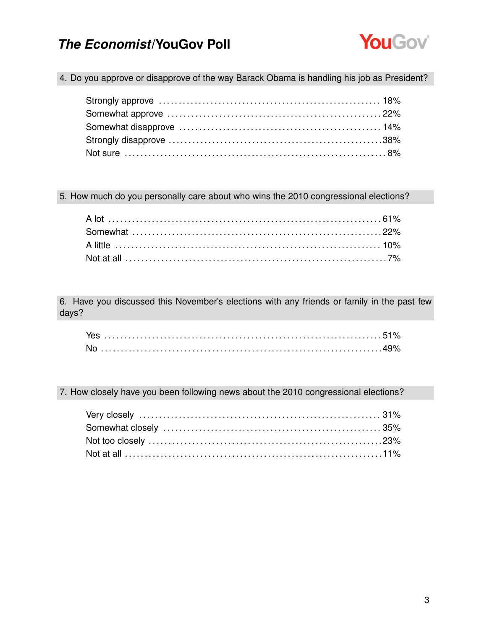

4. Do you approve or disapprove of the way Barack Obama is handling his job as President?

5. How much do you personally care about who wins the 2010 congressional elections?

6. Have you discussed this November's elections with any friends or family in the past few days?

7. How closely have you been following news about the 2010 congressional elections?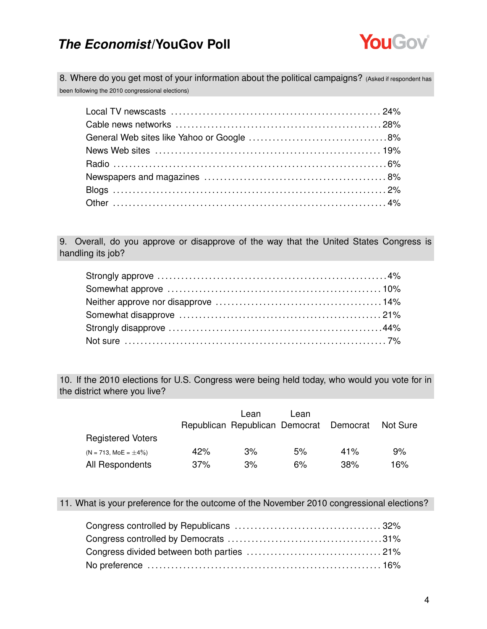

8. Where do you get most of your information about the political campaigns? (Asked if respondent has been following the 2010 congressional elections)

9. Overall, do you approve or disapprove of the way that the United States Congress is handling its job?

10. If the 2010 elections for U.S. Congress were being held today, who would you vote for in the district where you live?

|                            |     | Lean<br>Republican Republican Democrat Democrat | Lean |     | Not Sure |
|----------------------------|-----|-------------------------------------------------|------|-----|----------|
| <b>Registered Voters</b>   |     |                                                 |      |     |          |
| $(N = 713, MOE = \pm 4\%)$ | 42% | 3%                                              | 5%   | 41% | 9%       |
| All Respondents            | 37% | 3%                                              | 6%   | 38% | 16%      |

11. What is your preference for the outcome of the November 2010 congressional elections?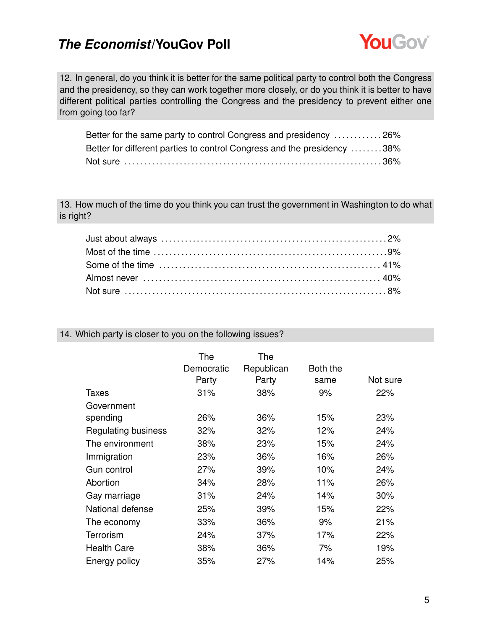

12. In general, do you think it is better for the same political party to control both the Congress and the presidency, so they can work together more closely, or do you think it is better to have different political parties controlling the Congress and the presidency to prevent either one from going too far?

| Better for the same party to control Congress and presidency  26%       |  |
|-------------------------------------------------------------------------|--|
| Better for different parties to control Congress and the presidency 38% |  |
|                                                                         |  |

13. How much of the time do you think you can trust the government in Washington to do what is right?

### 14. Which party is closer to you on the following issues?

|                            | The<br>Democratic<br>Party | The<br>Republican<br>Party | Both the<br>same | Not sure |
|----------------------------|----------------------------|----------------------------|------------------|----------|
| Taxes                      | 31%                        | 38%                        | 9%               | 22%      |
| Government                 |                            |                            |                  |          |
| spending                   | 26%                        | 36%                        | 15%              | 23%      |
| <b>Regulating business</b> | 32%                        | 32%                        | 12%              | 24%      |
| The environment            | 38%                        | 23%                        | 15%              | 24%      |
| Immigration                | 23%                        | 36%                        | 16%              | 26%      |
| Gun control                | 27%                        | 39%                        | 10%              | 24%      |
| Abortion                   | 34%                        | 28%                        | 11%              | 26%      |
| Gay marriage               | 31%                        | 24%                        | 14%              | 30%      |
| National defense           | 25%                        | 39%                        | 15%              | 22%      |
| The economy                | 33%                        | 36%                        | 9%               | 21%      |
| Terrorism                  | 24%                        | 37%                        | 17%              | 22%      |
| <b>Health Care</b>         | 38%                        | 36%                        | 7%               | 19%      |
| Energy policy              | 35%                        | 27%                        | 14%              | 25%      |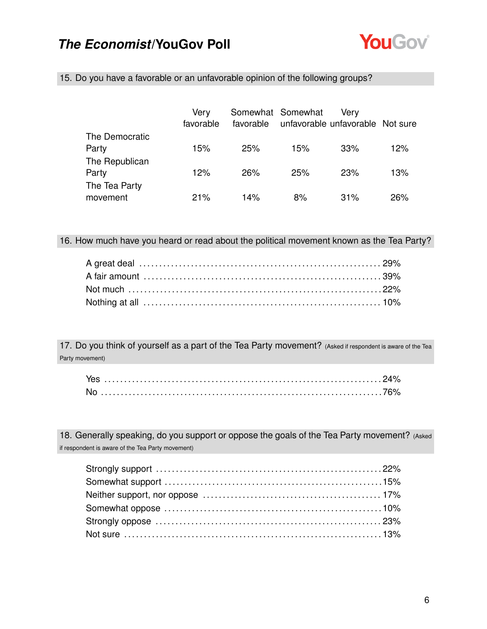

15. Do you have a favorable or an unfavorable opinion of the following groups?

|                           | Verv<br>favorable |     | Somewhat Somewhat<br>favorable unfavorable unfavorable Not sure | Verv |     |
|---------------------------|-------------------|-----|-----------------------------------------------------------------|------|-----|
| The Democratic<br>Party   | 15%               | 25% | 15%                                                             | 33%  | 12% |
| The Republican<br>Party   | 12%               | 26% | 25%                                                             | 23%  | 13% |
| The Tea Party<br>movement | 21%               | 14% | 8%                                                              | 31%  | 26% |

16. How much have you heard or read about the political movement known as the Tea Party?

17. Do you think of yourself as a part of the Tea Party movement? (Asked if respondent is aware of the Tea Party movement)

18. Generally speaking, do you support or oppose the goals of the Tea Party movement? (Asked if respondent is aware of the Tea Party movement)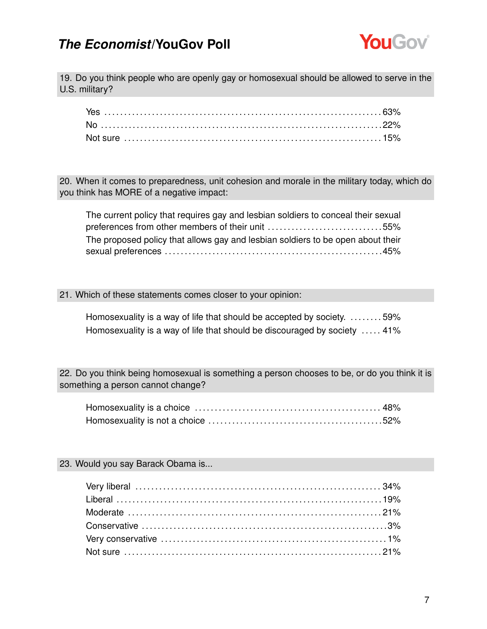

19. Do you think people who are openly gay or homosexual should be allowed to serve in the U.S. military?

20. When it comes to preparedness, unit cohesion and morale in the military today, which do you think has MORE of a negative impact:

| The current policy that requires gay and lesbian soldiers to conceal their sexual |  |
|-----------------------------------------------------------------------------------|--|
| preferences from other members of their unit 55%                                  |  |
| The proposed policy that allows gay and lesbian soldiers to be open about their   |  |
| sexual preferences                …………………………………………………45%                          |  |

#### 21. Which of these statements comes closer to your opinion:

Homosexuality is a way of life that should be accepted by society. . . . . . . . . 59% Homosexuality is a way of life that should be discouraged by society ..... 41%

22. Do you think being homosexual is something a person chooses to be, or do you think it is something a person cannot change?

23. Would you say Barack Obama is...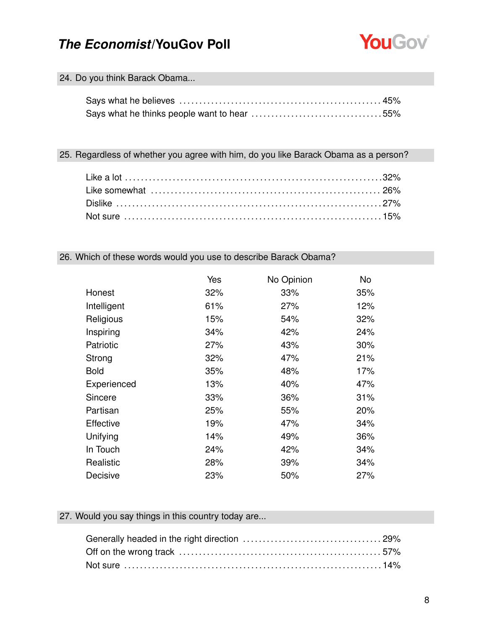

### 24. Do you think Barack Obama...

### 25. Regardless of whether you agree with him, do you like Barack Obama as a person?

### 26. Which of these words would you use to describe Barack Obama?

|                  | Yes | No Opinion | No  |
|------------------|-----|------------|-----|
| Honest           | 32% | 33%        | 35% |
| Intelligent      | 61% | 27%        | 12% |
| Religious        | 15% | 54%        | 32% |
| Inspiring        | 34% | 42%        | 24% |
| Patriotic        | 27% | 43%        | 30% |
| Strong           | 32% | 47%        | 21% |
| <b>Bold</b>      | 35% | 48%        | 17% |
| Experienced      | 13% | 40%        | 47% |
| Sincere          | 33% | 36%        | 31% |
| Partisan         | 25% | 55%        | 20% |
| <b>Effective</b> | 19% | 47%        | 34% |
| Unifying         | 14% | 49%        | 36% |
| In Touch         | 24% | 42%        | 34% |
| Realistic        | 28% | 39%        | 34% |
| Decisive         | 23% | 50%        | 27% |

### 27. Would you say things in this country today are...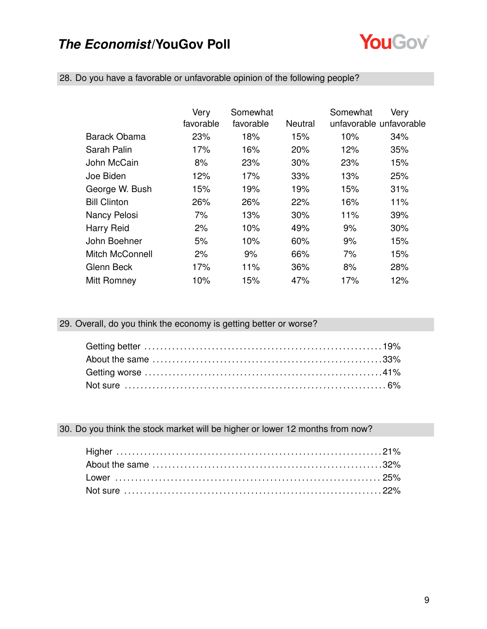

|                        | Very      | Somewhat  |         | Somewhat                | Very |
|------------------------|-----------|-----------|---------|-------------------------|------|
|                        | favorable | favorable | Neutral | unfavorable unfavorable |      |
| Barack Obama           | 23%       | 18%       | 15%     | 10%                     | 34%  |
| Sarah Palin            | 17%       | 16%       | 20%     | 12%                     | 35%  |
| John McCain            | 8%        | 23%       | 30%     | 23%                     | 15%  |
| Joe Biden              | 12%       | 17%       | 33%     | 13%                     | 25%  |
| George W. Bush         | 15%       | 19%       | 19%     | 15%                     | 31%  |
| <b>Bill Clinton</b>    | 26%       | 26%       | 22%     | 16%                     | 11%  |
| Nancy Pelosi           | 7%        | 13%       | 30%     | 11%                     | 39%  |
| Harry Reid             | 2%        | 10%       | 49%     | 9%                      | 30%  |
| John Boehner           | 5%        | 10%       | 60%     | 9%                      | 15%  |
| <b>Mitch McConnell</b> | 2%        | 9%        | 66%     | 7%                      | 15%  |
| Glenn Beck             | 17%       | 11%       | 36%     | 8%                      | 28%  |
| Mitt Romney            | 10%       | 15%       | 47%     | 17%                     | 12%  |

28. Do you have a favorable or unfavorable opinion of the following people?

29. Overall, do you think the economy is getting better or worse?

30. Do you think the stock market will be higher or lower 12 months from now?